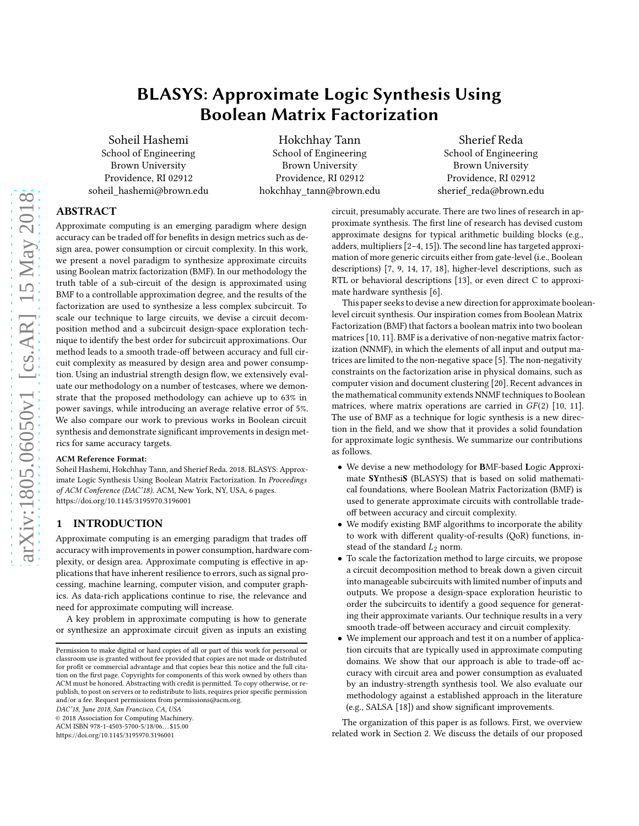# BLASYS: Approximate Logic Synthesis Using Boolean Matrix Factorization

Soheil Hashemi School of Engineering Brown University Providence, RI 02912 soheil\_hashemi@brown.edu

Hokchhay Tann School of Engineering Brown University Providence, RI 02912 hokchhay\_tann@brown.edu

Sherief Reda School of Engineering Brown University Providence, RI 02912 sherief reda@brown.edu

# ABSTRACT

Approximate computing is an emerging paradigm where design accuracy can be traded off for benefits in design metrics such as design area, power consumption or circuit complexity. In this work, we present a novel paradigm to synthesize approximate circuits using Boolean matrix factorization (BMF). In our methodology the truth table of a sub-circuit of the design is approximated using BMF to a controllable approximation degree, and the results of the factorization are used to synthesize a less complex subcircuit. To scale our technique to large circuits, we devise a circuit decomposition method and a subcircuit design-space exploration technique to identify the best order for subcircuit approximations. Our method leads to a smooth trade-off between accuracy and full circuit complexity as measured by design area and power consumption. Using an industrial strength design flow, we extensively evaluate our methodology on a number of testcases, where we demonstrate that the proposed methodology can achieve up to 63% in power savings, while introducing an average relative error of 5%. We also compare our work to previous works in Boolean circuit synthesis and demonstrate significant improvements in design metrics for same accuracy targets.

#### ACM Reference Format:

Soheil Hashemi, Hokchhay Tann, and Sherief Reda. 2018. BLASYS: Approximate Logic Synthesis Using Boolean Matrix Factorization. In Proceedings of ACM Conference (DAC'18). ACM, New York, NY, USA, [6](#page-5-0) pages. <https://doi.org/10.1145/3195970.3196001>

## 1 INTRODUCTION

Approximate computing is an emerging paradigm that trades off accuracy with improvements in power consumption, hardware complexity, or design area. Approximate computing is effective in applications that have inherent resilience to errors, such as signal processing, machine learning, computer vision, and computer graphics. As data-rich applications continue to rise, the relevance and need for approximate computing will increase.

A key problem in approximate computing is how to generate or synthesize an approximate circuit given as inputs an existing

DAC'18, June 2018, San Francisco, CA, USA

© 2018 Association for Computing Machinery.

ACM ISBN 978-1-4503-5700-5/18/06. . . \$15.00

<https://doi.org/10.1145/3195970.3196001>

circuit, presumably accurate. There are two lines of research in approximate synthesis. The first line of research has devised custom approximate designs for typical arithmetic building blocks (e.g., adders, multipliers [\[2](#page-5-1)[–4](#page-5-2), [15](#page-5-3)]). The second line has targeted approximation of more generic circuits either from gate-level (i.e., Boolean descriptions) [\[7,](#page-5-4) [9,](#page-5-5) [14,](#page-5-6) [17,](#page-5-7) [18](#page-5-8)], higher-level descriptions, such as RTL or behavioral descriptions [\[13](#page-5-9)], or even direct C to approximate hardware synthesis [\[6\]](#page-5-10).

This paper seeks to devise a new direction for approximate booleanlevel circuit synthesis. Our inspiration comes from Boolean Matrix Factorization (BMF) that factors a boolean matrix into two boolean matrices [\[10](#page-5-11), [11](#page-5-12)]. BMF is a derivative of non-negative matrix factorization (NNMF), in which the elements of all input and output matrices are limited to the non-negative space [\[5\]](#page-5-13). The non-negativity constraints on the factorization arise in physical domains, such as computer vision and document clustering [\[20](#page-5-14)]. Recent advances in the mathematical community extends NNMF techniques to Boolean matrices, where matrix operations are carried in  $GF(2)$  [\[10,](#page-5-11) [11\]](#page-5-12). The use of BMF as a technique for logic synthesis is a new direction in the field, and we show that it provides a solid foundation for approximate logic synthesis. We summarize our contributions as follows.

- We devise a new methodology for BMF-based Logic Approximate SYnthesiS (BLASYS) that is based on solid mathematical foundations, where Boolean Matrix Factorization (BMF) is used to generate approximate circuits with controllable tradeoff between accuracy and circuit complexity.
- We modify existing BMF algorithms to incorporate the ability to work with different quality-of-results (QoR) functions, instead of the standard  $L_2$  norm.
- To scale the factorization method to large circuits, we propose a circuit decomposition method to break down a given circuit into manageable subcircuits with limited number of inputs and outputs. We propose a design-space exploration heuristic to order the subcircuits to identify a good sequence for generating their approximate variants. Our technique results in a very smooth trade-off between accuracy and circuit complexity.
- We implement our approach and test it on a number of application circuits that are typically used in approximate computing domains. We show that our approach is able to trade-off accuracy with circuit area and power consumption as evaluated by an industry-strength synthesis tool. We also evaluate our methodology against a established approach in the literature (e.g., SALSA [\[18\]](#page-5-8)) and show significant improvements.

The organization of this paper is as follows. First, we overview related work in Section [2.](#page-1-0) We discuss the details of our proposed

Permission to make digital or hard copies of all or part of this work for personal or classroom use is granted without fee provided that copies are not made or distributed for profit or commercial advantage and that copies bear this notice and the full citation on the first page. Copyrights for components of this work owned by others than ACM must be honored. Abstracting with credit is permitted. To copy otherwise, or republish, to post on servers or to redistribute to lists, requires prior specific permission and/or a fee. Request permissions from permissions@acm.org.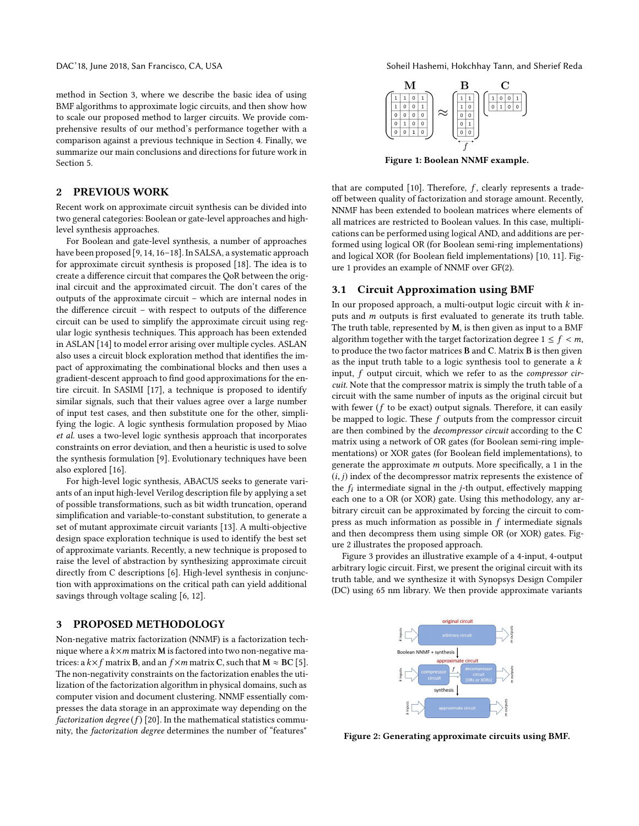method in Section [3,](#page-1-1) where we describe the basic idea of using BMF algorithms to approximate logic circuits, and then show how to scale our proposed method to larger circuits. We provide comprehensive results of our method's performance together with a comparison against a previous technique in Section [4.](#page-3-0) Finally, we summarize our main conclusions and directions for future work in Section [5.](#page-5-15)

## <span id="page-1-0"></span>2 PREVIOUS WORK

Recent work on approximate circuit synthesis can be divided into two general categories: Boolean or gate-level approaches and highlevel synthesis approaches.

For Boolean and gate-level synthesis, a number of approaches have been proposed [\[9](#page-5-5), [14](#page-5-6)[, 16](#page-5-16)[–18](#page-5-8)]. In SALSA, a systematic approach for approximate circuit synthesis is proposed [\[18\]](#page-5-8). The idea is to create a difference circuit that compares the QoR between the original circuit and the approximated circuit. The don't cares of the outputs of the approximate circuit – which are internal nodes in the difference circuit – with respect to outputs of the difference circuit can be used to simplify the approximate circuit using regular logic synthesis techniques. This approach has been extended in ASLAN [\[14](#page-5-6)] to model error arising over multiple cycles. ASLAN also uses a circuit block exploration method that identifies the impact of approximating the combinational blocks and then uses a gradient-descent approach to find good approximations for the entire circuit. In SASIMI [\[17\]](#page-5-7), a technique is proposed to identify similar signals, such that their values agree over a large number of input test cases, and then substitute one for the other, simplifying the logic. A logic synthesis formulation proposed by Miao et al. uses a two-level logic synthesis approach that incorporates constraints on error deviation, and then a heuristic is used to solve the synthesis formulation [\[9](#page-5-5)]. Evolutionary techniques have been also explored [\[16](#page-5-16)].

For high-level logic synthesis, ABACUS seeks to generate variants of an input high-level Verilog description file by applying a set of possible transformations, such as bit width truncation, operand simplification and variable-to-constant substitution, to generate a set of mutant approximate circuit variants [\[13\]](#page-5-9). A multi-objective design space exploration technique is used to identify the best set of approximate variants. Recently, a new technique is proposed to raise the level of abstraction by synthesizing approximate circuit directly from C descriptions [\[6\]](#page-5-10). High-level synthesis in conjunction with approximations on the critical path can yield additional savings through voltage scaling [\[6](#page-5-10), [12\]](#page-5-17).

## <span id="page-1-1"></span>3 PROPOSED METHODOLOGY

Non-negative matrix factorization (NNMF) is a factorization technique where a  $k \times m$  matrix **M** is factored into two non-negative matrices: a  $k \times f$  matrix **B**, and an  $f \times m$  matrix **C**, such that **M**  $\approx$  **BC** [\[5](#page-5-13)]. The non-negativity constraints on the factorization enables the utilization of the factorization algorithm in physical domains, such as computer vision and document clustering. NNMF essentially compresses the data storage in an approximate way depending on the factorization degree  $(f)$  [\[20\]](#page-5-14). In the mathematical statistics community, the factorization degree determines the number of "features"

DAC'18, June 2018, San Francisco, CA, USA Soheil Hashemi, Hokchhay Tann, and Sherief Reda

<span id="page-1-2"></span>

Figure 1: Boolean NNMF example.

that are computed [\[10\]](#page-5-11). Therefore,  $f$ , clearly represents a tradeoff between quality of factorization and storage amount. Recently, NNMF has been extended to boolean matrices where elements of all matrices are restricted to Boolean values. In this case, multiplications can be performed using logical AND, and additions are performed using logical OR (for Boolean semi-ring implementations) and logical XOR (for Boolean field implementations) [\[10](#page-5-11), [11\]](#page-5-12). Figure [1](#page-1-2) provides an example of NNMF over GF(2).

#### 3.1 Circuit Approximation using BMF

In our proposed approach, a multi-output logic circuit with  $k$  inputs and m outputs is first evaluated to generate its truth table. The truth table, represented by M, is then given as input to a BMF algorithm together with the target factorization degree  $1 \leq f \leq m$ , to produce the two factor matrices B and C. Matrix B is then given as the input truth table to a logic synthesis tool to generate a  $k$ input, f output circuit, which we refer to as the compressor circuit. Note that the compressor matrix is simply the truth table of a circuit with the same number of inputs as the original circuit but with fewer ( $f$  to be exact) output signals. Therefore, it can easily be mapped to logic. These  $f$  outputs from the compressor circuit are then combined by the decompressor circuit according to the C matrix using a network of OR gates (for Boolean semi-ring implementations) or XOR gates (for Boolean field implementations), to generate the approximate m outputs. More specifically, a 1 in the  $(i, j)$  index of the decompressor matrix represents the existence of the  $f_i$  intermediate signal in the *j*-th output, effectively mapping each one to a OR (or XOR) gate. Using this methodology, any arbitrary circuit can be approximated by forcing the circuit to compress as much information as possible in  $f$  intermediate signals and then decompress them using simple OR (or XOR) gates. Figure [2](#page-1-3) illustrates the proposed approach.

<span id="page-1-3"></span>Figure [3](#page-2-0) provides an illustrative example of a 4-input, 4-output arbitrary logic circuit. First, we present the original circuit with its truth table, and we synthesize it with Synopsys Design Compiler (DC) using 65 nm library. We then provide approximate variants



Figure 2: Generating approximate circuits using BMF.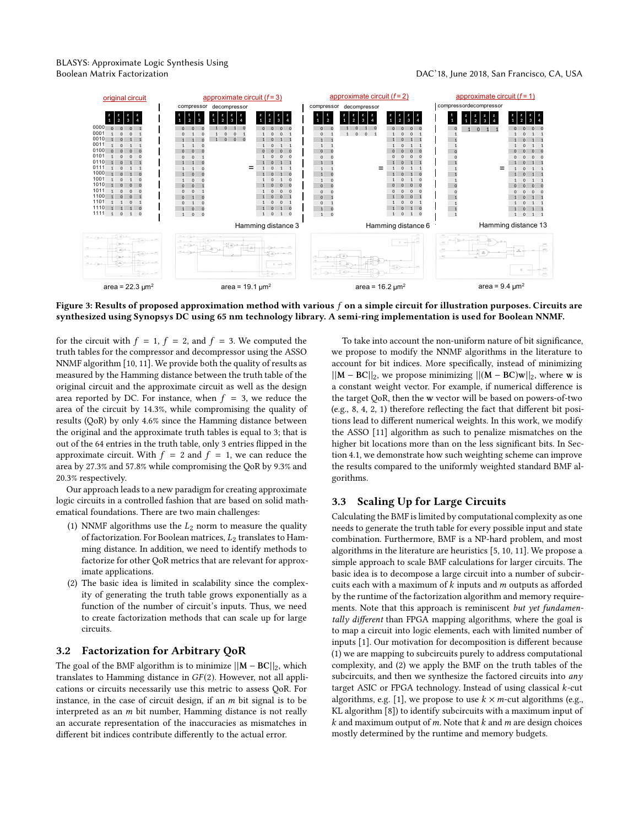## <span id="page-2-0"></span>BLASYS: Approximate Logic Synthesis Using Boolean Matrix Factorization DAC'18, June 2018, San Francisco, CA, USA



Figure 3: Results of proposed approximation method with various  $f$  on a simple circuit for illustration purposes. Circuits are synthesized using Synopsys DC using 65 nm technology library. A semi-ring implementation is used for Boolean NNMF.

for the circuit with  $f = 1$ ,  $f = 2$ , and  $f = 3$ . We computed the truth tables for the compressor and decompressor using the ASSO NNMF algorithm [\[10](#page-5-11), [11\]](#page-5-12). We provide both the quality of results as measured by the Hamming distance between the truth table of the original circuit and the approximate circuit as well as the design area reported by DC. For instance, when  $f = 3$ , we reduce the area of the circuit by 14.3%, while compromising the quality of results (QoR) by only 4.6% since the Hamming distance between the original and the approximate truth tables is equal to 3; that is out of the 64 entries in the truth table, only 3 entries flipped in the approximate circuit. With  $f = 2$  and  $f = 1$ , we can reduce the area by 27.3% and 57.8% while compromising the QoR by 9.3% and 20.3% respectively.

Our approach leads to a new paradigm for creating approximate logic circuits in a controlled fashion that are based on solid mathematical foundations. There are two main challenges:

- (1) NNMF algorithms use the  $L_2$  norm to measure the quality of factorization. For Boolean matrices,  $L_2$  translates to Hamming distance. In addition, we need to identify methods to factorize for other QoR metrics that are relevant for approximate applications.
- (2) The basic idea is limited in scalability since the complexity of generating the truth table grows exponentially as a function of the number of circuit's inputs. Thus, we need to create factorization methods that can scale up for large circuits.

### 3.2 Factorization for Arbitrary QoR

The goal of the BMF algorithm is to minimize  $||M - BC||_2$ , which translates to Hamming distance in  $GF(2)$ . However, not all applications or circuits necessarily use this metric to assess QoR. For instance, in the case of circuit design, if an  $m$  bit signal is to be interpreted as an  $m$  bit number, Hamming distance is not really an accurate representation of the inaccuracies as mismatches in different bit indices contribute differently to the actual error.

To take into account the non-uniform nature of bit significance, we propose to modify the NNMF algorithms in the literature to account for bit indices. More specifically, instead of minimizing  $||M - BC||_2$ , we propose minimizing  $||(M - BC)w||_2$ , where w is a constant weight vector. For example, if numerical difference is the target QoR, then the w vector will be based on powers-of-two (e.g., 8, 4, 2, 1) therefore reflecting the fact that different bit positions lead to different numerical weights. In this work, we modify the ASSO [\[11\]](#page-5-12) algorithm as such to penalize mismatches on the higher bit locations more than on the less significant bits. In Section [4.1,](#page-3-1) we demonstrate how such weighting scheme can improve the results compared to the uniformly weighted standard BMF algorithms.

# <span id="page-2-1"></span>3.3 Scaling Up for Large Circuits

Calculating the BMF is limited by computational complexity as one needs to generate the truth table for every possible input and state combination. Furthermore, BMF is a NP-hard problem, and most algorithms in the literature are heuristics [\[5](#page-5-13), [10](#page-5-11), [11\]](#page-5-12). We propose a simple approach to scale BMF calculations for larger circuits. The basic idea is to decompose a large circuit into a number of subcircuits each with a maximum of  $k$  inputs and  $m$  outputs as afforded by the runtime of the factorization algorithm and memory requirements. Note that this approach is reminiscent but yet fundamentally different than FPGA mapping algorithms, where the goal is to map a circuit into logic elements, each with limited number of inputs [\[1\]](#page-5-18). Our motivation for decomposition is different because (1) we are mapping to subcircuits purely to address computational complexity, and (2) we apply the BMF on the truth tables of the subcircuits, and then we synthesize the factored circuits into any target ASIC or FPGA technology. Instead of using classical  $k$ -cut algorithms, e.g. [\[1](#page-5-18)], we propose to use  $k \times m$ -cut algorithms (e.g., KL algorithm [\[8\]](#page-5-19)) to identify subcircuits with a maximum input of  $k$  and maximum output of  $m$ . Note that  $k$  and  $m$  are design choices mostly determined by the runtime and memory budgets.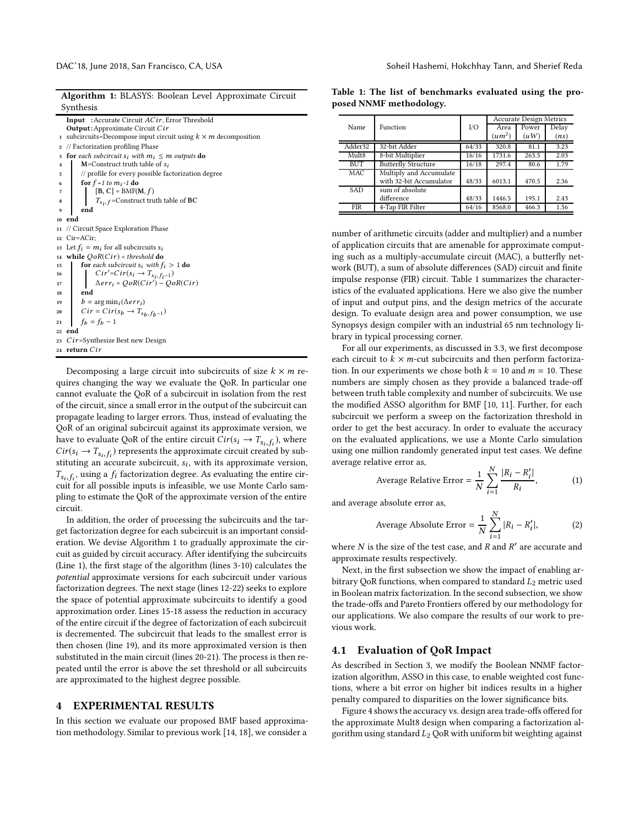Algorithm 1: BLASYS: Boolean Level Approximate Circuit Synthesis

|                | <b>Input</b> : Accurate Circuit <i>ACir</i> , Error Threshold                                                                           |  |  |  |  |  |  |
|----------------|-----------------------------------------------------------------------------------------------------------------------------------------|--|--|--|--|--|--|
|                | <b>Output:</b> Approximate Circuit Cir                                                                                                  |  |  |  |  |  |  |
| 1              | subcircuits=Decompose input circuit using $k \times m$ decomposition                                                                    |  |  |  |  |  |  |
| $\overline{2}$ | // Factorization profiling Phase                                                                                                        |  |  |  |  |  |  |
| 3              | <b>for</b> each subcircuit $s_i$ with $m_i \leq m$ outputs <b>do</b>                                                                    |  |  |  |  |  |  |
| 4              | $M$ =Construct truth table of $s_i$                                                                                                     |  |  |  |  |  |  |
| 5              | // profile for every possible factorization degree                                                                                      |  |  |  |  |  |  |
| 6              | for $f=1$ to $m_i$ -1 do                                                                                                                |  |  |  |  |  |  |
| 7              |                                                                                                                                         |  |  |  |  |  |  |
| 8              | $\begin{bmatrix} [\mathbf{B}, \mathbf{C}] = \text{BMF}(\mathbf{M}, f) \\ T_{s_i, f} = \text{Construct truth table of BC} \end{bmatrix}$ |  |  |  |  |  |  |
| 9              | end                                                                                                                                     |  |  |  |  |  |  |
| 10             | end                                                                                                                                     |  |  |  |  |  |  |
| 11             | // Circuit Space Exploration Phase                                                                                                      |  |  |  |  |  |  |
| 12             | $Cir = ACir$                                                                                                                            |  |  |  |  |  |  |
| 13             | Let $f_i = m_i$ for all subcircuits $s_i$                                                                                               |  |  |  |  |  |  |
| 14             | while $QoR(Cir)$ < threshold do                                                                                                         |  |  |  |  |  |  |
| 15             | <b>for</b> each subcircuit $s_i$ with $f_i > 1$ <b>do</b>                                                                               |  |  |  |  |  |  |
| 16             | $Cir' = Cir(s_i \rightarrow T_{s_i, f_i-1})$<br>$\Delta err_i = Q \circ R(Cir') - Q \circ R(Cir)$                                       |  |  |  |  |  |  |
| 17             |                                                                                                                                         |  |  |  |  |  |  |
| 18             | end                                                                                                                                     |  |  |  |  |  |  |
| 19             | $b = \arg \min_i (\Delta err_i)$                                                                                                        |  |  |  |  |  |  |
| 20             | $Cir = Cir(s_b \rightarrow T_{s_b, f_b-1})$                                                                                             |  |  |  |  |  |  |
| 21             | $f_h = f_h - 1$                                                                                                                         |  |  |  |  |  |  |
| 22             | end                                                                                                                                     |  |  |  |  |  |  |
| 23             | Cir=Synthesize Best new Design                                                                                                          |  |  |  |  |  |  |
|                | 24 return $Cir$                                                                                                                         |  |  |  |  |  |  |

<span id="page-3-2"></span>Decomposing a large circuit into subcircuits of size  $k \times m$  requires changing the way we evaluate the QoR. In particular one cannot evaluate the QoR of a subcircuit in isolation from the rest of the circuit, since a small error in the output of the subcircuit can propagate leading to larger errors. Thus, instead of evaluating the QoR of an original subcircuit against its approximate version, we have to evaluate QoR of the entire circuit  $Cir(s_i \rightarrow T_{s_i,f_i})$ , where  $Cir(s_i \rightarrow T_{s_i,f_i})$  represents the approximate circuit created by substituting an accurate subcircuit,  $s_i$ , with its approximate version,  $T_{s_i, f_i}$ , using a  $f_i$  factorization degree. As evaluating the entire circuit for all possible inputs is infeasible, we use Monte Carlo sampling to estimate the QoR of the approximate version of the entire circuit.

In addition, the order of processing the subcircuits and the target factorization degree for each subcircuit is an important consideration. We devise Algorithm [1](#page-3-2) to gradually approximate the circuit as guided by circuit accuracy. After identifying the subcircuits (Line 1), the first stage of the algorithm (lines 3-10) calculates the potential approximate versions for each subcircuit under various factorization degrees. The next stage (lines 12-22) seeks to explore the space of potential approximate subcircuits to identify a good approximation order. Lines 15-18 assess the reduction in accuracy of the entire circuit if the degree of factorization of each subcircuit is decremented. The subcircuit that leads to the smallest error is then chosen (line 19), and its more approximated version is then substituted in the main circuit (lines 20-21). The process is then repeated until the error is above the set threshold or all subcircuits are approximated to the highest degree possible.

## <span id="page-3-0"></span>4 EXPERIMENTAL RESULTS

In this section we evaluate our proposed BMF based approximation methodology. Similar to previous work [\[14](#page-5-6), [18](#page-5-8)], we consider a

<span id="page-3-3"></span>

|  |  | Table 1: The list of benchmarks evaluated using the pro- |  |  |
|--|--|----------------------------------------------------------|--|--|
|  |  | posed NNMF methodology.                                  |  |  |

|            |                            |       | <b>Accurate Design Metrics</b> |       |       |  |
|------------|----------------------------|-------|--------------------------------|-------|-------|--|
| Name       | Function                   | I/O   | Area                           | Power | Delay |  |
|            |                            |       | $(u m^2)$                      | (uW)  | (ns)  |  |
| Adder32    | 32-bit Adder               | 64/33 | 320.8                          | 81.1  | 3.23  |  |
| Mult8      | 8-bit Multiplier           | 16/16 | 1731.6                         | 263.5 | 2.03  |  |
| <b>BUT</b> | <b>Butterfly Structure</b> | 16/18 | 297.4                          | 80.6  | 1.79  |  |
| MAC        | Multiply and Accumulate    |       |                                |       |       |  |
|            | with 32-bit Accumulator    | 48/33 | 6013.1                         | 470.5 | 2.36  |  |
| <b>SAD</b> | sum of absolute            |       |                                |       |       |  |
|            | difference                 | 48/33 | 1446.5                         | 195.1 | 2.43  |  |
| FIR        | 4-Tap FIR Filter           | 64/16 | 8568.0                         | 466.3 | 1.56  |  |

number of arithmetic circuits (adder and multiplier) and a number of application circuits that are amenable for approximate computing such as a multiply-accumulate circuit (MAC), a butterfly network (BUT), a sum of absolute differences (SAD) circuit and finite impulse response (FIR) circuit. Table [1](#page-3-3) summarizes the characteristics of the evaluated applications. Here we also give the number of input and output pins, and the design metrics of the accurate design. To evaluate design area and power consumption, we use Synopsys design compiler with an industrial 65 nm technology library in typical processing corner.

For all our experiments, as discussed in [3.3,](#page-2-1) we first decompose each circuit to  $k \times m$ -cut subcircuits and then perform factorization. In our experiments we chose both  $k = 10$  and  $m = 10$ . These numbers are simply chosen as they provide a balanced trade-off between truth table complexity and number of subcircuits. We use the modified ASSO algorithm for BMF [\[10](#page-5-11), [11](#page-5-12)]. Further, for each subcircuit we perform a sweep on the factorization threshold in order to get the best accuracy. In order to evaluate the accuracy on the evaluated applications, we use a Monte Carlo simulation using one million randomly generated input test cases. We define average relative error as,

Average Relative Error = 
$$
\frac{1}{N} \sum_{i=1}^{N} \frac{|R_i - R'_i|}{R_i},
$$
 (1)

and average absolute error as,

Average Absolute Error = 
$$
\frac{1}{N} \sum_{i=1}^{N} |R_i - R'_i|,
$$
 (2)

where  $N$  is the size of the test case, and  $R$  and  $R'$  are accurate and approximate results respectively.

Next, in the first subsection we show the impact of enabling arbitrary QoR functions, when compared to standard  $L_2$  metric used in Boolean matrix factorization. In the second subsection, we show the trade-offs and Pareto Frontiers offered by our methodology for our applications. We also compare the results of our work to previous work.

## <span id="page-3-1"></span>4.1 Evaluation of QoR Impact

As described in Section [3,](#page-1-1) we modify the Boolean NNMF factorization algorithm, ASSO in this case, to enable weighted cost functions, where a bit error on higher bit indices results in a higher penalty compared to disparities on the lower significance bits.

Figure [4](#page-4-0) shows the accuracy vs. design area trade-offs offered for the approximate Mult8 design when comparing a factorization algorithm using standard  $L_2$  QoR with uniform bit weighting against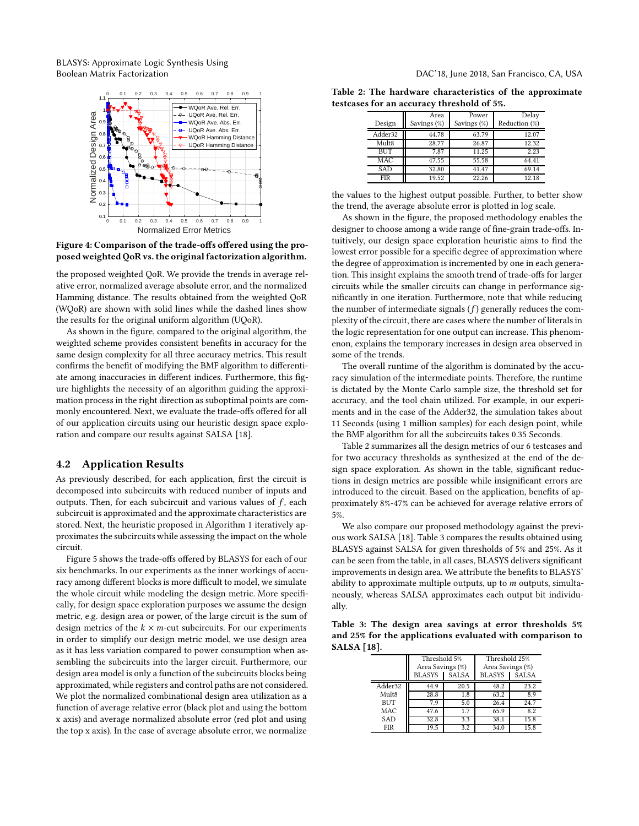<span id="page-4-0"></span>BLASYS: Approximate Logic Synthesis Using Boolean Matrix Factorization DAC'18, June 2018, San Francisco, CA, USA



Figure 4: Comparison of the trade-offs offered using the proposed weighted QoR vs. the original factorization algorithm.

the proposed weighted QoR. We provide the trends in average relative error, normalized average absolute error, and the normalized Hamming distance. The results obtained from the weighted QoR (WQoR) are shown with solid lines while the dashed lines show the results for the original uniform algorithm (UQoR).

As shown in the figure, compared to the original algorithm, the weighted scheme provides consistent benefits in accuracy for the same design complexity for all three accuracy metrics. This result confirms the benefit of modifying the BMF algorithm to differentiate among inaccuracies in different indices. Furthermore, this figure highlights the necessity of an algorithm guiding the approximation process in the right direction as suboptimal points are commonly encountered. Next, we evaluate the trade-offs offered for all of our application circuits using our heuristic design space exploration and compare our results against SALSA [\[18](#page-5-8)].

## 4.2 Application Results

As previously described, for each application, first the circuit is decomposed into subcircuits with reduced number of inputs and outputs. Then, for each subcircuit and various values of  $f$ , each subcircuit is approximated and the approximate characteristics are stored. Next, the heuristic proposed in Algorithm [1](#page-3-2) iteratively approximates the subcircuits while assessing the impact on the whole circuit.

Figure [5](#page-5-20) shows the trade-offs offered by BLASYS for each of our six benchmarks. In our experiments as the inner workings of accuracy among different blocks is more difficult to model, we simulate the whole circuit while modeling the design metric. More specifically, for design space exploration purposes we assume the design metric, e.g. design area or power, of the large circuit is the sum of design metrics of the  $k \times m$ -cut subcircuits. For our experiments in order to simplify our design metric model, we use design area as it has less variation compared to power consumption when assembling the subcircuits into the larger circuit. Furthermore, our design area model is only a function of the subcircuits blocks being approximated, while registers and control paths are not considered. We plot the normalized combinational design area utilization as a function of average relative error (black plot and using the bottom x axis) and average normalized absolute error (red plot and using the top x axis). In the case of average absolute error, we normalize

| testcases for an accuracy threshold of 5%. |         |                                       |       |                           |  |
|--------------------------------------------|---------|---------------------------------------|-------|---------------------------|--|
|                                            | Design  | Area<br>Savings $(\%)$ Savings $(\%)$ | Power | Delay<br>Reduction $(\%)$ |  |
|                                            | Adder32 | 44.78                                 | 63.79 | 12.07                     |  |
|                                            | .       | - - -                                 | ----  | .                         |  |

<span id="page-4-1"></span>Table 2: The hardware characteristics of the approximate

| Design     | Savings $(\%)$ | Savings $(\%)$ | Reduction (%) |
|------------|----------------|----------------|---------------|
| Adder32    | 44.78          | 63.79          | 12.07         |
| Mult8      | 28.77          | 26.87          | 12.32         |
| <b>BUT</b> | 7.87           | 11.25          | 2.23          |
| MAC        | 47.55          | 55.58          | 64.41         |
| SAD        | 32.80          | 41.47          | 69.14         |
| FIR        | 19.52          | 22.26          | 12.18         |

the values to the highest output possible. Further, to better show the trend, the average absolute error is plotted in log scale.

As shown in the figure, the proposed methodology enables the designer to choose among a wide range of fine-grain trade-offs. Intuitively, our design space exploration heuristic aims to find the lowest error possible for a specific degree of approximation where the degree of approximation is incremented by one in each generation. This insight explains the smooth trend of trade-offs for larger circuits while the smaller circuits can change in performance significantly in one iteration. Furthermore, note that while reducing the number of intermediate signals  $(f)$  generally reduces the complexity of the circuit, there are cases where the number of literals in the logic representation for one output can increase. This phenomenon, explains the temporary increases in design area observed in some of the trends.

The overall runtime of the algorithm is dominated by the accuracy simulation of the intermediate points. Therefore, the runtime is dictated by the Monte Carlo sample size, the threshold set for accuracy, and the tool chain utilized. For example, in our experiments and in the case of the Adder32, the simulation takes about 11 Seconds (using 1 million samples) for each design point, while the BMF algorithm for all the subcircuits takes 0.35 Seconds.

Table [2](#page-4-1) summarizes all the design metrics of our 6 testcases and for two accuracy thresholds as synthesized at the end of the design space exploration. As shown in the table, significant reductions in design metrics are possible while insignificant errors are introduced to the circuit. Based on the application, benefits of approximately 8%-47% can be achieved for average relative errors of 5%.

We also compare our proposed methodology against the previous work SALSA [\[18\]](#page-5-8). Table [3](#page-4-2) compares the results obtained using BLASYS against SALSA for given thresholds of 5% and 25%. As it can be seen from the table, in all cases, BLASYS delivers significant improvements in design area. We attribute the benefits to BLASYS' ability to approximate multiple outputs, up to m outputs, simultaneously, whereas SALSA approximates each output bit individually.

<span id="page-4-2"></span>Table 3: The design area savings at error thresholds 5% and 25% for the applications evaluated with comparison to SALSA [\[18](#page-5-8)].

|            | Threshold 5%     |              | Threshold 25%    |              |  |
|------------|------------------|--------------|------------------|--------------|--|
|            | Area Savings (%) |              | Area Savings (%) |              |  |
|            | <b>BLASYS</b>    | <b>SALSA</b> | <b>BLASYS</b>    | <b>SALSA</b> |  |
| Adder32    | 44.9             | 20.5         | 48.2             | 23.2         |  |
| Mult8      | 28.8             | 1.8          | 63.2             | 8.9          |  |
| <b>BUT</b> | 7.9              | 5.0          | 26.4             | 24.7         |  |
| <b>MAC</b> | 47.6             | 1.7          | 65.9             | 8.2          |  |
| <b>SAD</b> | 32.8             | 3.3          | 38.1             | 15.8         |  |
| <b>FIR</b> | 19.5             | 3.2          | 34.0             | 15.8         |  |